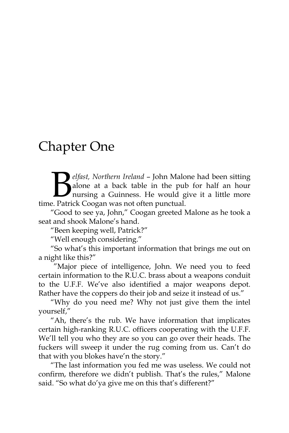## Chapter One

*elfast, Northern Ireland* – John Malone had been sitting alone at a back table in the pub for half an hour nursing a Guinness. He would give it a little more *elfast, Northern Ireland – John Malc* alone at a back table in the pul nursing a Guinness. He would g<br>time. Patrick Coogan was not often punctual.

"Good to see ya, John," Coogan greeted Malone as he took a seat and shook Malone's hand.

"Been keeping well, Patrick?"

"Well enough considering."

"So what's this important information that brings me out on a night like this?"

"Major piece of intelligence, John. We need you to feed certain information to the R.U.C. brass about a weapons conduit to the U.F.F. We've also identified a major weapons depot. Rather have the coppers do their job and seize it instead of us."

"Why do you need me? Why not just give them the intel yourself,"

"Ah, there's the rub. We have information that implicates certain high-ranking R.U.C. officers cooperating with the U.F.F. We'll tell you who they are so you can go over their heads. The fuckers will sweep it under the rug coming from us. Can't do that with you blokes have'n the story."

"The last information you fed me was useless. We could not confirm, therefore we didn't publish. That's the rules," Malone said. "So what do'ya give me on this that's different?"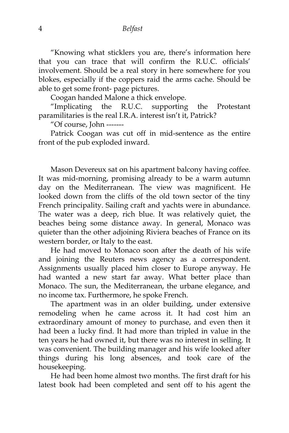"Knowing what sticklers you are, there's information here that you can trace that will confirm the R.U.C. officials' involvement. Should be a real story in here somewhere for you blokes, especially if the coppers raid the arms cache. Should be able to get some front- page pictures.

Coogan handed Malone a thick envelope.

"Implicating the R.U.C. supporting the Protestant paramilitaries is the real I.R.A. interest isn't it, Patrick?

"Of course, John -------

Patrick Coogan was cut off in mid-sentence as the entire front of the pub exploded inward.

Mason Devereux sat on his apartment balcony having coffee. It was mid-morning, promising already to be a warm autumn day on the Mediterranean. The view was magnificent. He looked down from the cliffs of the old town sector of the tiny French principality. Sailing craft and yachts were in abundance. The water was a deep, rich blue. It was relatively quiet, the beaches being some distance away. In general, Monaco was quieter than the other adjoining Riviera beaches of France on its western border, or Italy to the east.

He had moved to Monaco soon after the death of his wife and joining the Reuters news agency as a correspondent. Assignments usually placed him closer to Europe anyway. He had wanted a new start far away. What better place than Monaco. The sun, the Mediterranean, the urbane elegance, and no income tax. Furthermore, he spoke French.

The apartment was in an older building, under extensive remodeling when he came across it. It had cost him an extraordinary amount of money to purchase, and even then it had been a lucky find. It had more than tripled in value in the ten years he had owned it, but there was no interest in selling. It was convenient. The building manager and his wife looked after things during his long absences, and took care of the housekeeping.

He had been home almost two months. The first draft for his latest book had been completed and sent off to his agent the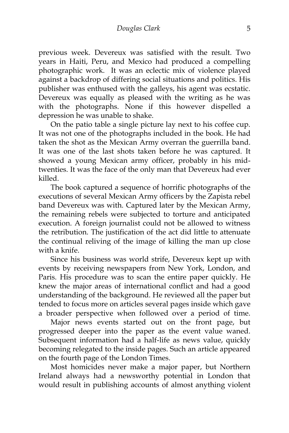previous week. Devereux was satisfied with the result. Two years in Haiti, Peru, and Mexico had produced a compelling photographic work. It was an eclectic mix of violence played against a backdrop of differing social situations and politics. His publisher was enthused with the galleys, his agent was ecstatic. Devereux was equally as pleased with the writing as he was with the photographs. None if this however dispelled a depression he was unable to shake.

On the patio table a single picture lay next to his coffee cup. It was not one of the photographs included in the book. He had taken the shot as the Mexican Army overran the guerrilla band. It was one of the last shots taken before he was captured. It showed a young Mexican army officer, probably in his midtwenties. It was the face of the only man that Devereux had ever killed.

The book captured a sequence of horrific photographs of the executions of several Mexican Army officers by the Zapista rebel band Devereux was with. Captured later by the Mexican Army, the remaining rebels were subjected to torture and anticipated execution. A foreign journalist could not be allowed to witness the retribution. The justification of the act did little to attenuate the continual reliving of the image of killing the man up close with a knife.

Since his business was world strife, Devereux kept up with events by receiving newspapers from New York, London, and Paris. His procedure was to scan the entire paper quickly. He knew the major areas of international conflict and had a good understanding of the background. He reviewed all the paper but tended to focus more on articles several pages inside which gave a broader perspective when followed over a period of time.

Major news events started out on the front page, but progressed deeper into the paper as the event value waned. Subsequent information had a half-life as news value, quickly becoming relegated to the inside pages. Such an article appeared on the fourth page of the London Times.

Most homicides never make a major paper, but Northern Ireland always had a newsworthy potential in London that would result in publishing accounts of almost anything violent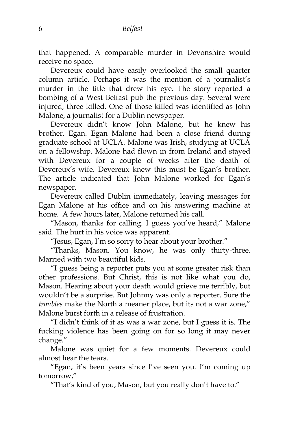that happened. A comparable murder in Devonshire would receive no space.

Devereux could have easily overlooked the small quarter column article. Perhaps it was the mention of a journalist's murder in the title that drew his eye. The story reported a bombing of a West Belfast pub the previous day. Several were injured, three killed. One of those killed was identified as John Malone, a journalist for a Dublin newspaper.

Devereux didn't know John Malone, but he knew his brother, Egan. Egan Malone had been a close friend during graduate school at UCLA. Malone was Irish, studying at UCLA on a fellowship. Malone had flown in from Ireland and stayed with Devereux for a couple of weeks after the death of Devereux's wife. Devereux knew this must be Egan's brother. The article indicated that John Malone worked for Egan's newspaper.

Devereux called Dublin immediately, leaving messages for Egan Malone at his office and on his answering machine at home. A few hours later, Malone returned his call.

"Mason, thanks for calling. I guess you've heard," Malone said. The hurt in his voice was apparent.

"Jesus, Egan, I'm so sorry to hear about your brother."

"Thanks, Mason. You know, he was only thirty-three. Married with two beautiful kids.

"I guess being a reporter puts you at some greater risk than other professions. But Christ, this is not like what you do, Mason. Hearing about your death would grieve me terribly, but wouldn't be a surprise. But Johnny was only a reporter. Sure the *troubles* make the North a meaner place, but its not a war zone," Malone burst forth in a release of frustration.

"I didn't think of it as was a war zone, but I guess it is. The fucking violence has been going on for so long it may never change."

Malone was quiet for a few moments. Devereux could almost hear the tears.

"Egan, it's been years since I've seen you. I'm coming up tomorrow,"

"That's kind of you, Mason, but you really don't have to."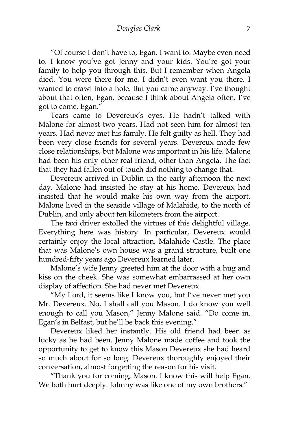"Of course I don't have to, Egan. I want to. Maybe even need to. I know you've got Jenny and your kids. You're got your family to help you through this. But I remember when Angela died. You were there for me. I didn't even want you there. I wanted to crawl into a hole. But you came anyway. I've thought about that often, Egan, because I think about Angela often. I've got to come, Egan."

Tears came to Devereux's eyes. He hadn't talked with Malone for almost two years. Had not seen him for almost ten years. Had never met his family. He felt guilty as hell. They had been very close friends for several years. Devereux made few close relationships, but Malone was important in his life. Malone had been his only other real friend, other than Angela. The fact that they had fallen out of touch did nothing to change that.

Devereux arrived in Dublin in the early afternoon the next day. Malone had insisted he stay at his home. Devereux had insisted that he would make his own way from the airport. Malone lived in the seaside village of Malahide, to the north of Dublin, and only about ten kilometers from the airport.

The taxi driver extolled the virtues of this delightful village. Everything here was history. In particular, Devereux would certainly enjoy the local attraction, Malahide Castle. The place that was Malone's own house was a grand structure, built one hundred-fifty years ago Devereux learned later.

Malone's wife Jenny greeted him at the door with a hug and kiss on the cheek. She was somewhat embarrassed at her own display of affection. She had never met Devereux.

"My Lord, it seems like I know you, but I've never met you Mr. Devereux. No, I shall call you Mason. I do know you well enough to call you Mason," Jenny Malone said. "Do come in. Egan's in Belfast, but he'll be back this evening."

Devereux liked her instantly. His old friend had been as lucky as he had been. Jenny Malone made coffee and took the opportunity to get to know this Mason Devereux she had heard so much about for so long. Devereux thoroughly enjoyed their conversation, almost forgetting the reason for his visit.

"Thank you for coming, Mason. I know this will help Egan. We both hurt deeply. Johnny was like one of my own brothers."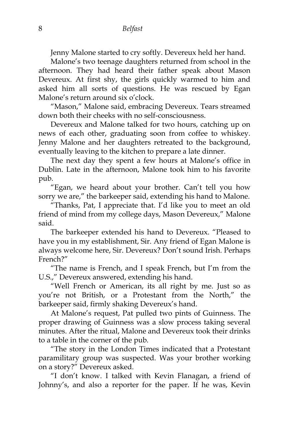Jenny Malone started to cry softly. Devereux held her hand.

Malone's two teenage daughters returned from school in the afternoon. They had heard their father speak about Mason Devereux. At first shy, the girls quickly warmed to him and asked him all sorts of questions. He was rescued by Egan Malone's return around six o'clock.

"Mason," Malone said, embracing Devereux. Tears streamed down both their cheeks with no self-consciousness.

Devereux and Malone talked for two hours, catching up on news of each other, graduating soon from coffee to whiskey. Jenny Malone and her daughters retreated to the background, eventually leaving to the kitchen to prepare a late dinner.

The next day they spent a few hours at Malone's office in Dublin. Late in the afternoon, Malone took him to his favorite pub.

"Egan, we heard about your brother. Can't tell you how sorry we are," the barkeeper said, extending his hand to Malone.

"Thanks, Pat, I appreciate that. I'd like you to meet an old friend of mind from my college days, Mason Devereux," Malone said.

The barkeeper extended his hand to Devereux. "Pleased to have you in my establishment, Sir. Any friend of Egan Malone is always welcome here, Sir. Devereux? Don't sound Irish. Perhaps French?"

"The name is French, and I speak French, but I'm from the U.S.," Devereux answered, extending his hand.

"Well French or American, its all right by me. Just so as you're not British, or a Protestant from the North," the barkeeper said, firmly shaking Devereux's hand.

At Malone's request, Pat pulled two pints of Guinness. The proper drawing of Guinness was a slow process taking several minutes. After the ritual, Malone and Devereux took their drinks to a table in the corner of the pub.

"The story in the London Times indicated that a Protestant paramilitary group was suspected. Was your brother working on a story?" Devereux asked.

"I don't know. I talked with Kevin Flanagan, a friend of Johnny's, and also a reporter for the paper. If he was, Kevin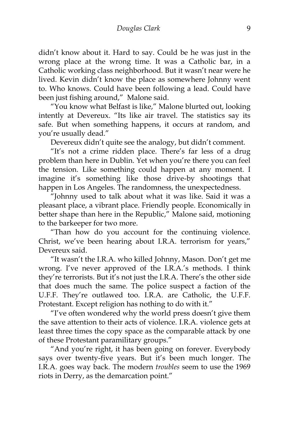didn't know about it. Hard to say. Could be he was just in the wrong place at the wrong time. It was a Catholic bar, in a Catholic working class neighborhood. But it wasn't near were he lived. Kevin didn't know the place as somewhere Johnny went to. Who knows. Could have been following a lead. Could have been just fishing around," Malone said.

"You know what Belfast is like," Malone blurted out, looking intently at Devereux. "Its like air travel. The statistics say its safe. But when something happens, it occurs at random, and you're usually dead."

Devereux didn't quite see the analogy, but didn't comment.

"It's not a crime ridden place. There's far less of a drug problem than here in Dublin. Yet when you're there you can feel the tension. Like something could happen at any moment. I imagine it's something like those drive-by shootings that happen in Los Angeles. The randomness, the unexpectedness.

"Johnny used to talk about what it was like. Said it was a pleasant place, a vibrant place. Friendly people. Economically in better shape than here in the Republic," Malone said, motioning to the barkeeper for two more.

"Than how do you account for the continuing violence. Christ, we've been hearing about I.R.A. terrorism for years," Devereux said.

"It wasn't the I.R.A. who killed Johnny, Mason. Don't get me wrong. I've never approved of the I.R.A.'s methods. I think they're terrorists. But it's not just the I.R.A. There's the other side that does much the same. The police suspect a faction of the U.F.F. They're outlawed too. I.R.A. are Catholic, the U.F.F. Protestant. Except religion has nothing to do with it."

"I've often wondered why the world press doesn't give them the save attention to their acts of violence. I.R.A. violence gets at least three times the copy space as the comparable attack by one of these Protestant paramilitary groups."

"And you're right, it has been going on forever. Everybody says over twenty-five years. But it's been much longer. The I.R.A. goes way back. The modern *troubles* seem to use the 1969 riots in Derry, as the demarcation point."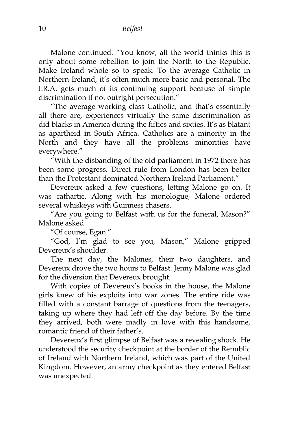Malone continued. "You know, all the world thinks this is only about some rebellion to join the North to the Republic. Make Ireland whole so to speak. To the average Catholic in Northern Ireland, it's often much more basic and personal. The I.R.A. gets much of its continuing support because of simple discrimination if not outright persecution."

"The average working class Catholic, and that's essentially all there are, experiences virtually the same discrimination as did blacks in America during the fifties and sixties. It's as blatant as apartheid in South Africa. Catholics are a minority in the North and they have all the problems minorities have everywhere."

"With the disbanding of the old parliament in 1972 there has been some progress. Direct rule from London has been better than the Protestant dominated Northern Ireland Parliament."

Devereux asked a few questions, letting Malone go on. It was cathartic. Along with his monologue, Malone ordered several whiskeys with Guinness chasers.

"Are you going to Belfast with us for the funeral, Mason?" Malone asked.

"Of course, Egan."

"God, I'm glad to see you, Mason," Malone gripped Devereux's shoulder.

The next day, the Malones, their two daughters, and Devereux drove the two hours to Belfast. Jenny Malone was glad for the diversion that Devereux brought.

With copies of Devereux's books in the house, the Malone girls knew of his exploits into war zones. The entire ride was filled with a constant barrage of questions from the teenagers, taking up where they had left off the day before. By the time they arrived, both were madly in love with this handsome, romantic friend of their father's.

Devereux's first glimpse of Belfast was a revealing shock. He understood the security checkpoint at the border of the Republic of Ireland with Northern Ireland, which was part of the United Kingdom. However, an army checkpoint as they entered Belfast was unexpected.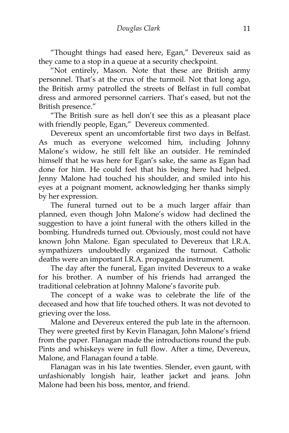"Thought things had eased here, Egan," Devereux said as they came to a stop in a queue at a security checkpoint.

"Not entirely, Mason. Note that these are British army personnel. That's at the crux of the turmoil. Not that long ago, the British army patrolled the streets of Belfast in full combat dress and armored personnel carriers. That's eased, but not the British presence."

"The British sure as hell don't see this as a pleasant place with friendly people, Egan," Devereux commented.

Devereux spent an uncomfortable first two days in Belfast. As much as everyone welcomed him, including Johnny Malone's widow, he still felt like an outsider. He reminded himself that he was here for Egan's sake, the same as Egan had done for him. He could feel that his being here had helped. Jenny Malone had touched his shoulder, and smiled into his eyes at a poignant moment, acknowledging her thanks simply by her expression.

The funeral turned out to be a much larger affair than planned, even though John Malone's widow had declined the suggestion to have a joint funeral with the others killed in the bombing. Hundreds turned out. Obviously, most could not have known John Malone. Egan speculated to Devereux that I.R.A. sympathizers undoubtedly organized the turnout. Catholic deaths were an important I.R.A. propaganda instrument.

The day after the funeral, Egan invited Devereux to a wake for his brother. A number of his friends had arranged the traditional celebration at Johnny Malone's favorite pub.

The concept of a wake was to celebrate the life of the deceased and how that life touched others. It was not devoted to grieving over the loss.

Malone and Devereux entered the pub late in the afternoon. They were greeted first by Kevin Flanagan, John Malone's friend from the paper. Flanagan made the introductions round the pub. Pints and whiskeys were in full flow. After a time, Devereux, Malone, and Flanagan found a table.

Flanagan was in his late twenties. Slender, even gaunt, with unfashionably longish hair, leather jacket and jeans. John Malone had been his boss, mentor, and friend.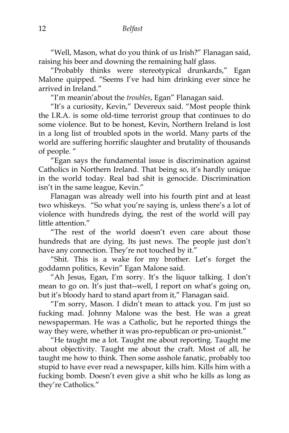"Well, Mason, what do you think of us Irish?" Flanagan said, raising his beer and downing the remaining half glass.

"Probably thinks were stereotypical drunkards," Egan Malone quipped. "Seems I've had him drinking ever since he arrived in Ireland."

"I'm meanin'about the *troubles*, Egan" Flanagan said.

"It's a curiosity, Kevin," Devereux said. "Most people think the I.R.A. is some old-time terrorist group that continues to do some violence. But to be honest, Kevin, Northern Ireland is lost in a long list of troubled spots in the world. Many parts of the world are suffering horrific slaughter and brutality of thousands of people. "

"Egan says the fundamental issue is discrimination against Catholics in Northern Ireland. That being so, it's hardly unique in the world today. Real bad shit is genocide. Discrimination isn't in the same league, Kevin."

Flanagan was already well into his fourth pint and at least two whiskeys. "So what you're saying is, unless there's a lot of violence with hundreds dying, the rest of the world will pay little attention."

"The rest of the world doesn't even care about those hundreds that are dying. Its just news. The people just don't have any connection. They're not touched by it."

"Shit. This is a wake for my brother. Let's forget the goddamn politics, Kevin" Egan Malone said.

"Ah Jesus, Egan, I'm sorry. It's the liquor talking. I don't mean to go on. It's just that--well, I report on what's going on, but it's bloody hard to stand apart from it," Flanagan said.

"I'm sorry, Mason. I didn't mean to attack you. I'm just so fucking mad. Johnny Malone was the best. He was a great newspaperman. He was a Catholic, but he reported things the way they were, whether it was pro-republican or pro-unionist."

"He taught me a lot. Taught me about reporting. Taught me about objectivity. Taught me about the craft. Most of all, he taught me how to think. Then some asshole fanatic, probably too stupid to have ever read a newspaper, kills him. Kills him with a fucking bomb. Doesn't even give a shit who he kills as long as they're Catholics."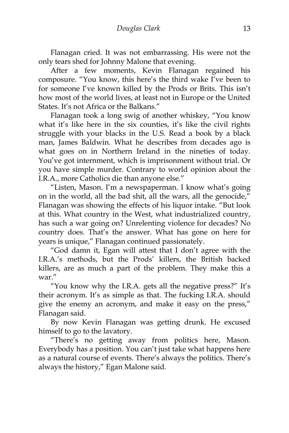Flanagan cried. It was not embarrassing. His were not the only tears shed for Johnny Malone that evening.

After a few moments, Kevin Flanagan regained his composure. "You know, this here's the third wake I've been to for someone I've known killed by the Prods or Brits. This isn't how most of the world lives, at least not in Europe or the United States. It's not Africa or the Balkans."

Flanagan took a long swig of another whiskey, "You know what it's like here in the six counties, it's like the civil rights struggle with your blacks in the U.S. Read a book by a black man, James Baldwin. What he describes from decades ago is what goes on in Northern Ireland in the nineties of today. You've got internment, which is imprisonment without trial. Or you have simple murder. Contrary to world opinion about the I.R.A., more Catholics die than anyone else."

"Listen, Mason. I'm a newspaperman. I know what's going on in the world, all the bad shit, all the wars, all the genocide," Flanagan was showing the effects of his liquor intake. "But look at this. What country in the West, what industrialized country, has such a war going on? Unrelenting violence for decades? No country does. That's the answer. What has gone on here for years is unique," Flanagan continued passionately.

"God damn it, Egan will attest that I don't agree with the I.R.A.'s methods, but the Prods' killers, the British backed killers, are as much a part of the problem. They make this a war."

"You know why the I.R.A. gets all the negative press?" It's their acronym. It's as simple as that. The fucking I.R.A. should give the enemy an acronym, and make it easy on the press," Flanagan said.

By now Kevin Flanagan was getting drunk. He excused himself to go to the lavatory.

"There's no getting away from politics here, Mason. Everybody has a position. You can't just take what happens here as a natural course of events. There's always the politics. There's always the history," Egan Malone said.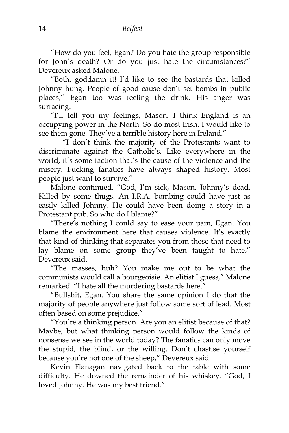"How do you feel, Egan? Do you hate the group responsible for John's death? Or do you just hate the circumstances?" Devereux asked Malone.

"Both, goddamn it! I'd like to see the bastards that killed Johnny hung. People of good cause don't set bombs in public places," Egan too was feeling the drink. His anger was surfacing.

"I'll tell you my feelings, Mason. I think England is an occupying power in the North. So do most Irish. I would like to see them gone. They've a terrible history here in Ireland."

"I don't think the majority of the Protestants want to discriminate against the Catholic's. Like everywhere in the world, it's some faction that's the cause of the violence and the misery. Fucking fanatics have always shaped history. Most people just want to survive."

Malone continued. "God, I'm sick, Mason. Johnny's dead. Killed by some thugs. An I.R.A. bombing could have just as easily killed Johnny. He could have been doing a story in a Protestant pub. So who do I blame?"

"There's nothing I could say to ease your pain, Egan. You blame the environment here that causes violence. It's exactly that kind of thinking that separates you from those that need to lay blame on some group they've been taught to hate," Devereux said.

"The masses, huh? You make me out to be what the communists would call a bourgeoisie. An elitist I guess," Malone remarked. "I hate all the murdering bastards here."

"Bullshit, Egan. You share the same opinion I do that the majority of people anywhere just follow some sort of lead. Most often based on some prejudice."

"You're a thinking person. Are you an elitist because of that? Maybe, but what thinking person would follow the kinds of nonsense we see in the world today? The fanatics can only move the stupid, the blind, or the willing. Don't chastise yourself because you're not one of the sheep," Devereux said.

Kevin Flanagan navigated back to the table with some difficulty. He downed the remainder of his whiskey. "God, I loved Johnny. He was my best friend."